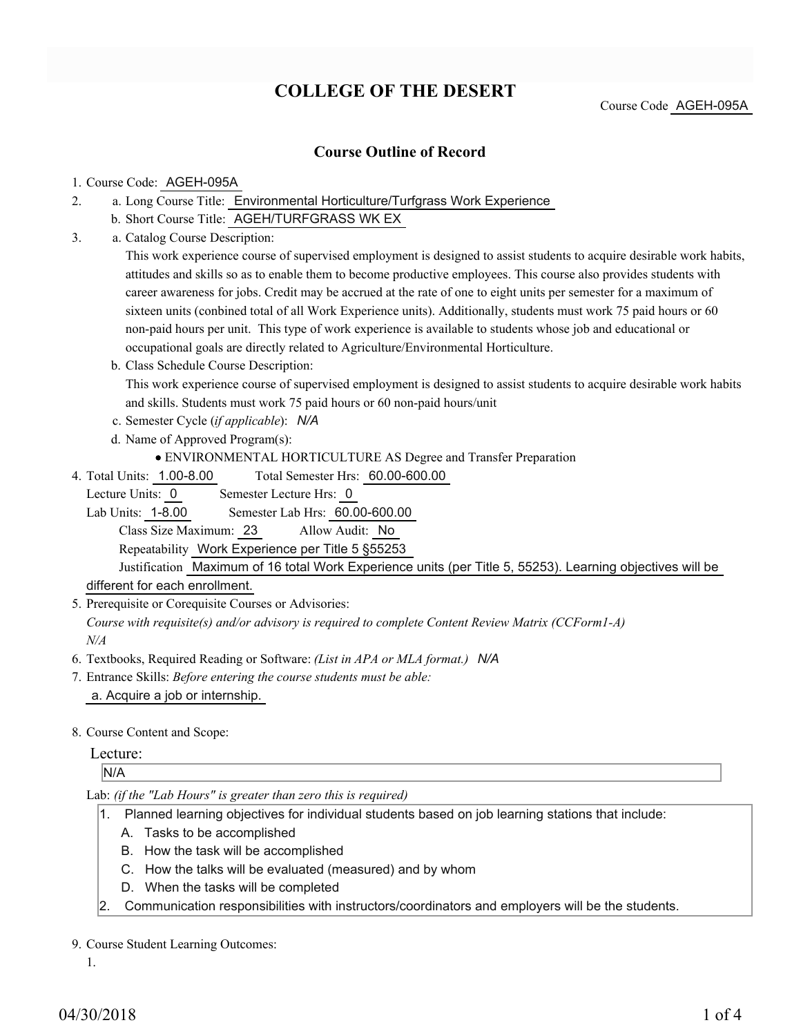# **COLLEGE OF THE DESERT**

# **Course Outline of Record**

### 1. Course Code: AGEH-095A

- a. Long Course Title: Environmental Horticulture/Turfgrass Work Experience 2.
	- b. Short Course Title: AGEH/TURFGRASS WK EX
- Catalog Course Description: a. 3.

This work experience course of supervised employment is designed to assist students to acquire desirable work habits, attitudes and skills so as to enable them to become productive employees. This course also provides students with career awareness for jobs. Credit may be accrued at the rate of one to eight units per semester for a maximum of sixteen units (conbined total of all Work Experience units). Additionally, students must work 75 paid hours or 60 non-paid hours per unit. This type of work experience is available to students whose job and educational or occupational goals are directly related to Agriculture/Environmental Horticulture.

b. Class Schedule Course Description:

This work experience course of supervised employment is designed to assist students to acquire desirable work habits and skills. Students must work 75 paid hours or 60 non-paid hours/unit

- c. Semester Cycle (*if applicable*): *N/A*
- d. Name of Approved Program(s):
	- ENVIRONMENTAL HORTICULTURE AS Degree and Transfer Preparation
- Total Semester Hrs: 60.00-600.00 4. Total Units: 1.00-8.00
	- Lecture Units: 0 Semester Lecture Hrs: 0

Lab Units: 1-8.00 Semester Lab Hrs: 60.00-600.00

Class Size Maximum: 23 Allow Audit: No

Repeatability Work Experience per Title 5 §55253

Justification Maximum of 16 total Work Experience units (per Title 5, 55253). Learning objectives will be different for each enrollment.

5. Prerequisite or Corequisite Courses or Advisories:

*Course with requisite(s) and/or advisory is required to complete Content Review Matrix (CCForm1-A) N/A*

- 6. Textbooks, Required Reading or Software: *(List in APA or MLA format.) N/A*
- Entrance Skills: *Before entering the course students must be able:* 7. a. Acquire a job or internship.
- 8. Course Content and Scope:

## Lecture:

N/A

#### Lab: *(if the "Lab Hours" is greater than zero this is required)*

- 1. Planned learning objectives for individual students based on job learning stations that include:
	- A. Tasks to be accomplished
	- B. How the task will be accomplished
	- C. How the talks will be evaluated (measured) and by whom
	- D. When the tasks will be completed
- 2. Communication responsibilities with instructors/coordinators and employers will be the students.

#### 9. Course Student Learning Outcomes:

1.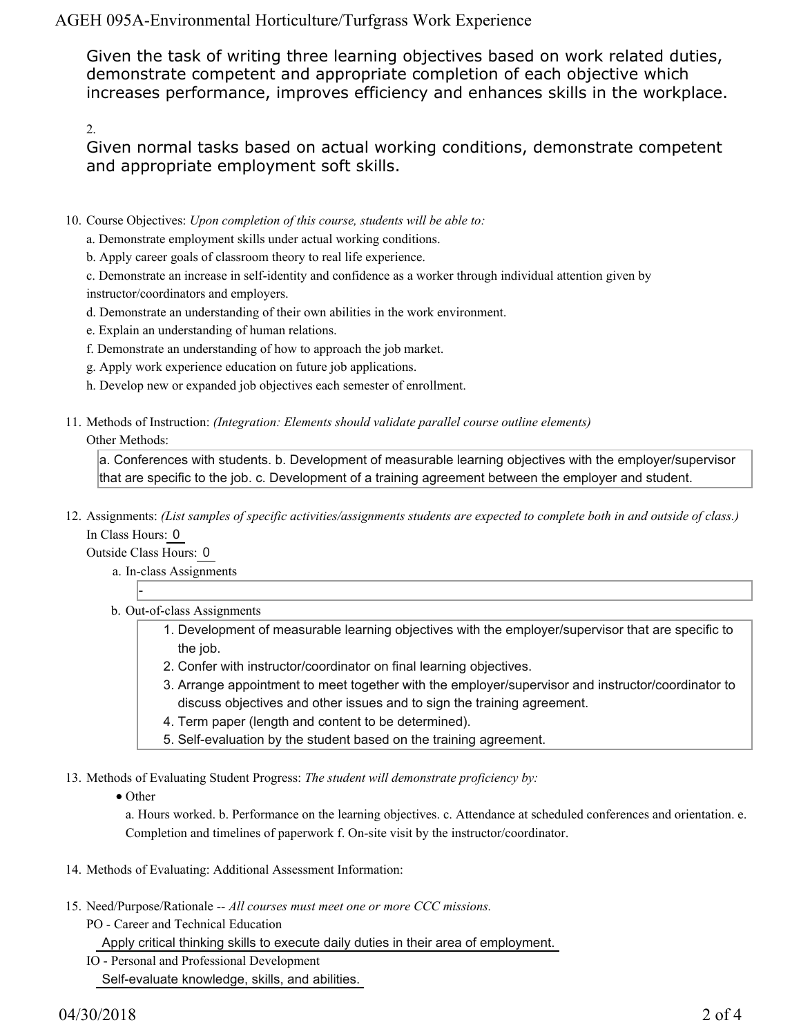AGEH 095A-Environmental Horticulture/Turfgrass Work Experience

Given the task of writing three learning objectives based on work related duties, demonstrate competent and appropriate completion of each objective which increases performance, improves efficiency and enhances skills in the workplace.

2.

Given normal tasks based on actual working conditions, demonstrate competent and appropriate employment soft skills.

- 10. Course Objectives: Upon completion of this course, students will be able to:
	- a. Demonstrate employment skills under actual working conditions.
	- b. Apply career goals of classroom theory to real life experience.
	- c. Demonstrate an increase in self-identity and confidence as a worker through individual attention given by instructor/coordinators and employers.
	- d. Demonstrate an understanding of their own abilities in the work environment.
	- e. Explain an understanding of human relations.
	- f. Demonstrate an understanding of how to approach the job market.
	- g. Apply work experience education on future job applications.
	- h. Develop new or expanded job objectives each semester of enrollment.
- Methods of Instruction: *(Integration: Elements should validate parallel course outline elements)* 11. Other Methods:

a. Conferences with students. b. Development of measurable learning objectives with the employer/supervisor that are specific to the job. c. Development of a training agreement between the employer and student.

12. Assignments: (List samples of specific activities/assignments students are expected to complete both in and outside of class.) In Class Hours: 0

Outside Class Hours: 0

-

- a. In-class Assignments
- b. Out-of-class Assignments
	- 1. Development of measurable learning objectives with the employer/supervisor that are specific to the job.
	- 2. Confer with instructor/coordinator on final learning objectives.
	- Arrange appointment to meet together with the employer/supervisor and instructor/coordinator to 3. discuss objectives and other issues and to sign the training agreement.
	- 4. Term paper (length and content to be determined).
	- 5. Self-evaluation by the student based on the training agreement.
- 13. Methods of Evaluating Student Progress: The student will demonstrate proficiency by:
	- Other

a. Hours worked. b. Performance on the learning objectives. c. Attendance at scheduled conferences and orientation. e. Completion and timelines of paperwork f. On-site visit by the instructor/coordinator.

- 14. Methods of Evaluating: Additional Assessment Information:
- 15. Need/Purpose/Rationale -- All courses must meet one or more CCC missions.
	- PO Career and Technical Education Apply critical thinking skills to execute daily duties in their area of employment.
	- IO Personal and Professional Development Self-evaluate knowledge, skills, and abilities.